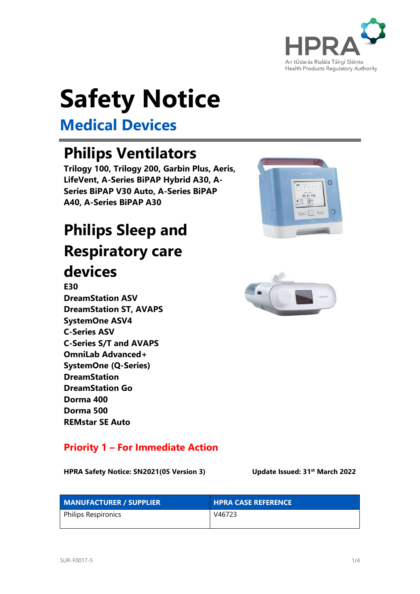

# **Safety Notice**

## **Medical Devices**

## **Philips Ventilators**

**Trilogy 100, Trilogy 200, Garbin Plus, Aeris, LifeVent, A-Series BiPAP Hybrid A30, A-Series BiPAP V30 Auto, A-Series BiPAP A40, A-Series BiPAP A30**

## **Philips Sleep and Respiratory care**

### **devices**

**E30 DreamStation ASV DreamStation ST, AVAPS SystemOne ASV4 C-Series ASV C-Series S/T and AVAPS OmniLab Advanced+ SystemOne (Q-Series) DreamStation DreamStation Go Dorma 400 Dorma 500 REMstar SE Auto**

#### **Priority 1 – For Immediate Action**

**HPRA Safety Notice: SN2021(05 Version 3) Update Issued: 31st March 2022**



| <b>MANUFACTURER / SUPPLIER</b> | <b>HPRA CASE REFERENCE</b> |
|--------------------------------|----------------------------|
| Philips Respironics            | V46723                     |



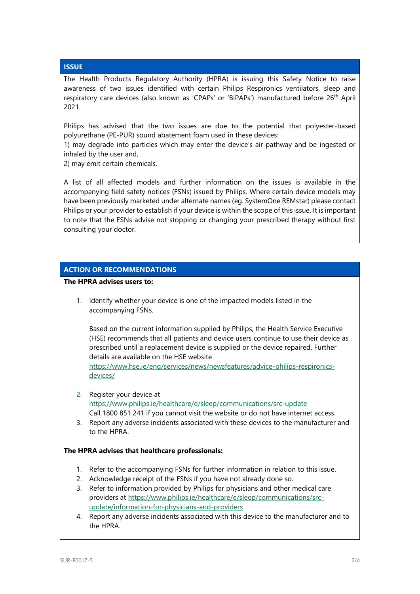#### **ISSUE**

The Health Products Regulatory Authority (HPRA) is issuing this Safety Notice to raise awareness of two issues identified with certain Philips Respironics ventilators, sleep and respiratory care devices (also known as 'CPAPs' or 'BiPAPs') manufactured before 26<sup>th</sup> April 2021.

Philips has advised that the two issues are due to the potential that polyester-based polyurethane (PE-PUR) sound abatement foam used in these devices:

1) may degrade into particles which may enter the device's air pathway and be ingested or inhaled by the user and,

2) may emit certain chemicals.

A list of all affected models and further information on the issues is available in the accompanying field safety notices (FSNs) issued by Philips. Where certain device models may have been previously marketed under alternate names (eg. SystemOne REMstar) please contact Philips or your provider to establish if your device is within the scope of this issue. It is important to note that the FSNs advise not stopping or changing your prescribed therapy without first consulting your doctor.

#### **ACTION OR RECOMMENDATIONS**

**The HPRA advises users to:**

1. Identify whether your device is one of the impacted models listed in the accompanying FSNs.

Based on the current information supplied by Philips, the Health Service Executive (HSE) recommends that all patients and device users continue to use their device as prescribed until a replacement device is supplied or the device repaired. Further details are available on the HSE website

[https://www.hse.ie/eng/services/news/newsfeatures/advice-philips-respironics](https://www.hse.ie/eng/services/news/newsfeatures/advice-philips-respironics-devices/)[devices/](https://www.hse.ie/eng/services/news/newsfeatures/advice-philips-respironics-devices/)

- 2. Register your device at <https://www.philips.ie/healthcare/e/sleep/communications/src-update> Call 1800 851 241 if you cannot visit the website or do not have internet access.
- 3. Report any adverse incidents associated with these devices to the manufacturer and to the HPRA.

#### **The HPRA advises that healthcare professionals:**

- 1. Refer to the accompanying FSNs for further information in relation to this issue.
- 2. Acknowledge receipt of the FSNs if you have not already done so.
- 3. Refer to information provided by Philips for physicians and other medical care providers at [https://www.philips.ie/healthcare/e/sleep/communications/src](https://www.philips.ie/healthcare/e/sleep/communications/src-update/information-for-physicians-and-providers)[update/information-for-physicians-and-providers](https://www.philips.ie/healthcare/e/sleep/communications/src-update/information-for-physicians-and-providers)
- 4. Report any adverse incidents associated with this device to the manufacturer and to the HPRA.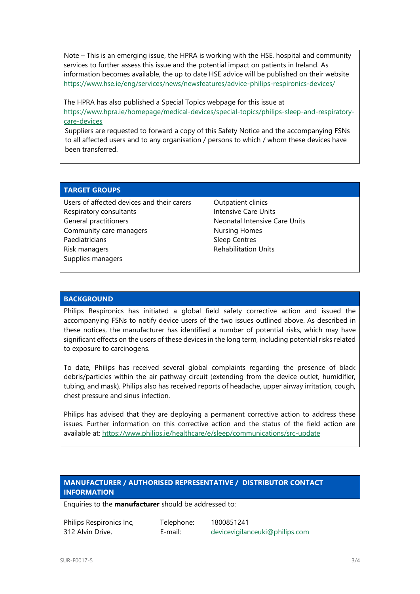Note – This is an emerging issue, the HPRA is working with the HSE, hospital and community services to further assess this issue and the potential impact on patients in Ireland. As information becomes available, the up to date HSE advice will be published on their website <https://www.hse.ie/eng/services/news/newsfeatures/advice-philips-respironics-devices/>

The HPRA has also published a Special Topics webpage for this issue at [https://www.hpra.ie/homepage/medical-devices/special-topics/philips-sleep-and-respiratory](https://www.hpra.ie/homepage/medical-devices/special-topics/philips-sleep-and-respiratory-care-devices)[care-devices](https://www.hpra.ie/homepage/medical-devices/special-topics/philips-sleep-and-respiratory-care-devices)

Suppliers are requested to forward a copy of this Safety Notice and the accompanying FSNs to all affected users and to any organisation / persons to which / whom these devices have been transferred.

#### **TARGET GROUPS**

| Users of affected devices and their carers | Outpatient clinics            |
|--------------------------------------------|-------------------------------|
| Respiratory consultants                    | Intensive Care Units          |
| General practitioners                      | Neonatal Intensive Care Units |
| Community care managers                    | <b>Nursing Homes</b>          |
| Paediatricians                             | <b>Sleep Centres</b>          |
| Risk managers                              | <b>Rehabilitation Units</b>   |
| Supplies managers                          |                               |

#### **BACKGROUND**

Philips Respironics has initiated a global field safety corrective action and issued the accompanying FSNs to notify device users of the two issues outlined above. As described in these notices, the manufacturer has identified a number of potential risks, which may have significant effects on the users of these devices in the long term, including potential risks related to exposure to carcinogens.

To date, Philips has received several global complaints regarding the presence of black debris/particles within the air pathway circuit (extending from the device outlet, humidifier, tubing, and mask). Philips also has received reports of headache, upper airway irritation, cough, chest pressure and sinus infection.

Philips has advised that they are deploying a permanent corrective action to address these issues. Further information on this corrective action and the status of the field action are available at:<https://www.philips.ie/healthcare/e/sleep/communications/src-update>

#### **MANUFACTURER / AUTHORISED REPRESENTATIVE / DISTRIBUTOR CONTACT INFORMATION**

Enquiries to the **manufacturer** should be addressed to:

Philips Respironics Inc, 312 Alvin Drive,

Telephone: 1800851241 E-mail: [devicevigilanceuki@philips.com](mailto:devicevigilanceuki@philips.com)